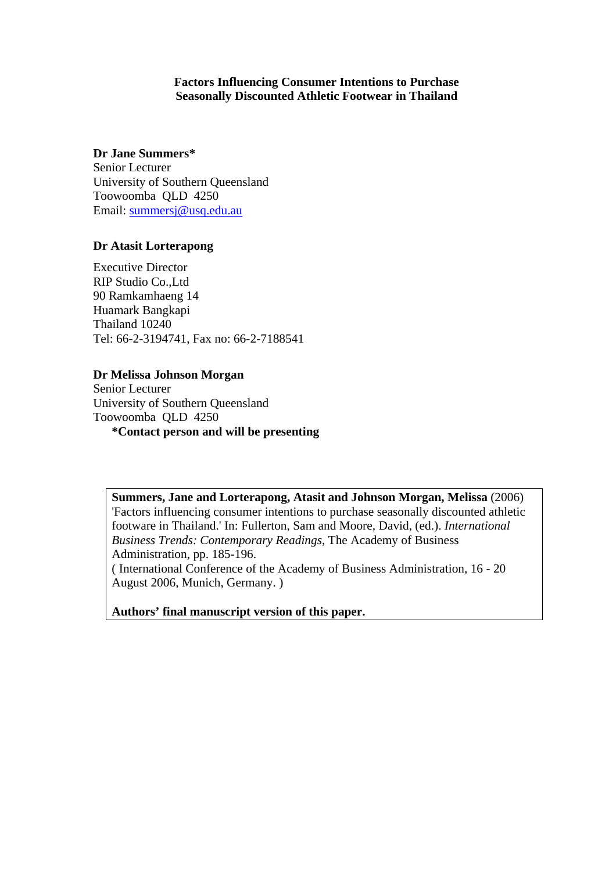## **Factors Influencing Consumer Intentions to Purchase Seasonally Discounted Athletic Footwear in Thailand**

# **Dr Jane Summers\***

Senior Lecturer University of Southern Queensland Toowoomba QLD 4250 Email: [summersj@usq.edu.au](mailto:summersj@usq.edu.au)

# **Dr Atasit Lorterapong**

Executive Director RIP Studio Co.,Ltd 90 Ramkamhaeng 14 Huamark Bangkapi Thailand 10240 Tel: 66-2-3194741, Fax no: 66-2-7188541

# **Dr Melissa Johnson Morgan**

Senior Lecturer University of Southern Queensland Toowoomba QLD 4250

**\*Contact person and will be presenting** 

**Summers, Jane and Lorterapong, Atasit and Johnson Morgan, Melissa** (2006) 'Factors influencing consumer intentions to purchase seasonally discounted athletic footware in Thailand.' In: Fullerton, Sam and Moore, David, (ed.). *International Business Trends: Contemporary Readings*, The Academy of Business Administration, pp. 185-196.

( International Conference of the Academy of Business Administration, 16 - 20 August 2006, Munich, Germany. )

**Authors' final manuscript version of this paper.**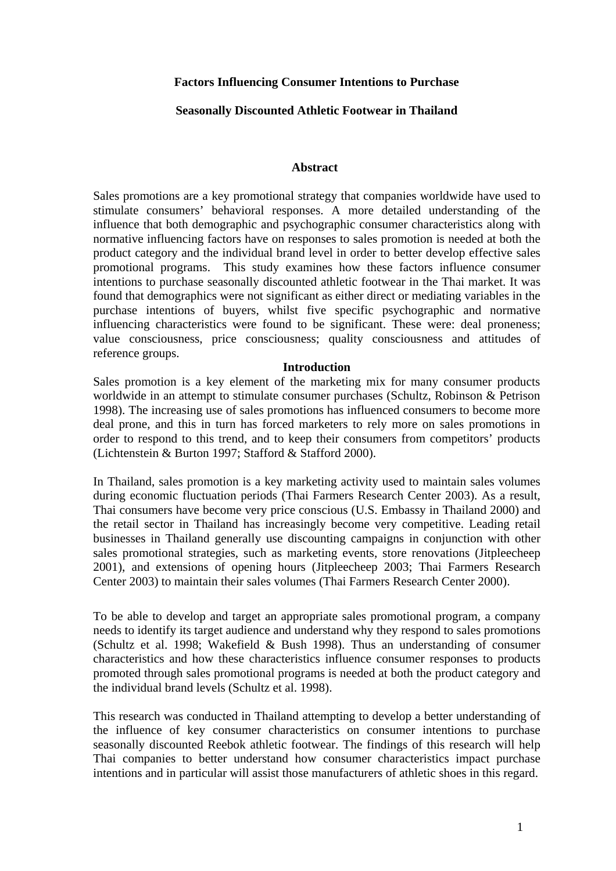# **Factors Influencing Consumer Intentions to Purchase**

# **Seasonally Discounted Athletic Footwear in Thailand**

## **Abstract**

Sales promotions are a key promotional strategy that companies worldwide have used to stimulate consumers' behavioral responses. A more detailed understanding of the influence that both demographic and psychographic consumer characteristics along with normative influencing factors have on responses to sales promotion is needed at both the product category and the individual brand level in order to better develop effective sales promotional programs. This study examines how these factors influence consumer intentions to purchase seasonally discounted athletic footwear in the Thai market. It was found that demographics were not significant as either direct or mediating variables in the purchase intentions of buyers, whilst five specific psychographic and normative influencing characteristics were found to be significant. These were: deal proneness; value consciousness, price consciousness; quality consciousness and attitudes of reference groups.

## **Introduction**

Sales promotion is a key element of the marketing mix for many consumer products worldwide in an attempt to stimulate consumer purchases (Schultz, Robinson & Petrison 1998). The increasing use of sales promotions has influenced consumers to become more deal prone, and this in turn has forced marketers to rely more on sales promotions in order to respond to this trend, and to keep their consumers from competitors' products (Lichtenstein & Burton 1997; Stafford & Stafford 2000).

In Thailand, sales promotion is a key marketing activity used to maintain sales volumes during economic fluctuation periods (Thai Farmers Research Center 2003). As a result, Thai consumers have become very price conscious (U.S. Embassy in Thailand 2000) and the retail sector in Thailand has increasingly become very competitive. Leading retail businesses in Thailand generally use discounting campaigns in conjunction with other sales promotional strategies, such as marketing events, store renovations (Jitpleecheep 2001), and extensions of opening hours (Jitpleecheep 2003; Thai Farmers Research Center 2003) to maintain their sales volumes (Thai Farmers Research Center 2000).

To be able to develop and target an appropriate sales promotional program, a company needs to identify its target audience and understand why they respond to sales promotions (Schultz et al. 1998; Wakefield & Bush 1998). Thus an understanding of consumer characteristics and how these characteristics influence consumer responses to products promoted through sales promotional programs is needed at both the product category and the individual brand levels (Schultz et al. 1998).

This research was conducted in Thailand attempting to develop a better understanding of the influence of key consumer characteristics on consumer intentions to purchase seasonally discounted Reebok athletic footwear. The findings of this research will help Thai companies to better understand how consumer characteristics impact purchase intentions and in particular will assist those manufacturers of athletic shoes in this regard.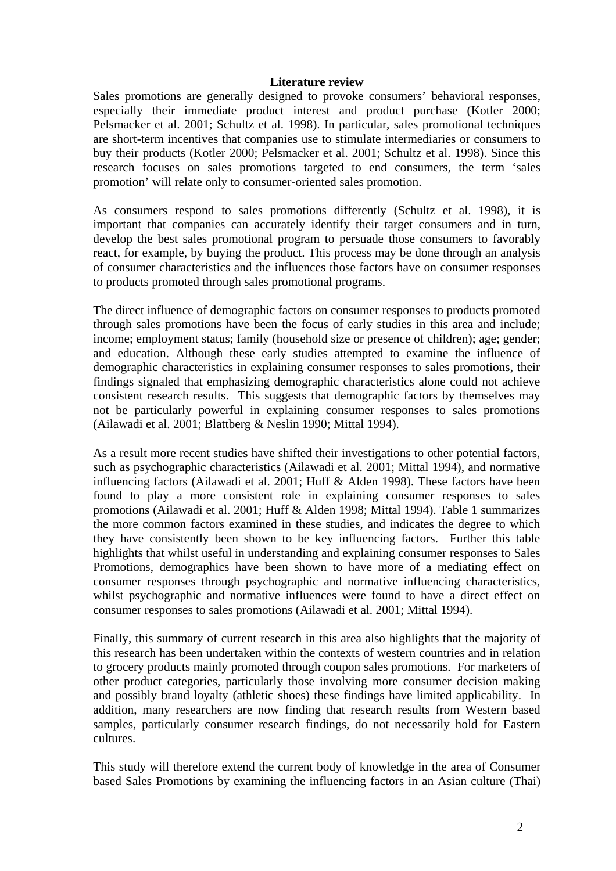#### **Literature review**

Sales promotions are generally designed to provoke consumers' behavioral responses, especially their immediate product interest and product purchase (Kotler 2000; Pelsmacker et al. 2001; Schultz et al. 1998). In particular, sales promotional techniques are short-term incentives that companies use to stimulate intermediaries or consumers to buy their products (Kotler 2000; Pelsmacker et al. 2001; Schultz et al. 1998). Since this research focuses on sales promotions targeted to end consumers, the term 'sales promotion' will relate only to consumer-oriented sales promotion.

As consumers respond to sales promotions differently (Schultz et al. 1998), it is important that companies can accurately identify their target consumers and in turn, develop the best sales promotional program to persuade those consumers to favorably react, for example, by buying the product. This process may be done through an analysis of consumer characteristics and the influences those factors have on consumer responses to products promoted through sales promotional programs.

The direct influence of demographic factors on consumer responses to products promoted through sales promotions have been the focus of early studies in this area and include; income; employment status; family (household size or presence of children); age; gender; and education. Although these early studies attempted to examine the influence of demographic characteristics in explaining consumer responses to sales promotions, their findings signaled that emphasizing demographic characteristics alone could not achieve consistent research results. This suggests that demographic factors by themselves may not be particularly powerful in explaining consumer responses to sales promotions (Ailawadi et al. 2001; Blattberg & Neslin 1990; Mittal 1994).

As a result more recent studies have shifted their investigations to other potential factors, such as psychographic characteristics (Ailawadi et al. 2001; Mittal 1994), and normative influencing factors (Ailawadi et al. 2001; Huff & Alden 1998). These factors have been found to play a more consistent role in explaining consumer responses to sales promotions (Ailawadi et al. 2001; Huff & Alden 1998; Mittal 1994). Table 1 summarizes the more common factors examined in these studies, and indicates the degree to which they have consistently been shown to be key influencing factors. Further this table highlights that whilst useful in understanding and explaining consumer responses to Sales Promotions, demographics have been shown to have more of a mediating effect on consumer responses through psychographic and normative influencing characteristics, whilst psychographic and normative influences were found to have a direct effect on consumer responses to sales promotions (Ailawadi et al. 2001; Mittal 1994).

Finally, this summary of current research in this area also highlights that the majority of this research has been undertaken within the contexts of western countries and in relation to grocery products mainly promoted through coupon sales promotions. For marketers of other product categories, particularly those involving more consumer decision making and possibly brand loyalty (athletic shoes) these findings have limited applicability. In addition, many researchers are now finding that research results from Western based samples, particularly consumer research findings, do not necessarily hold for Eastern cultures.

This study will therefore extend the current body of knowledge in the area of Consumer based Sales Promotions by examining the influencing factors in an Asian culture (Thai)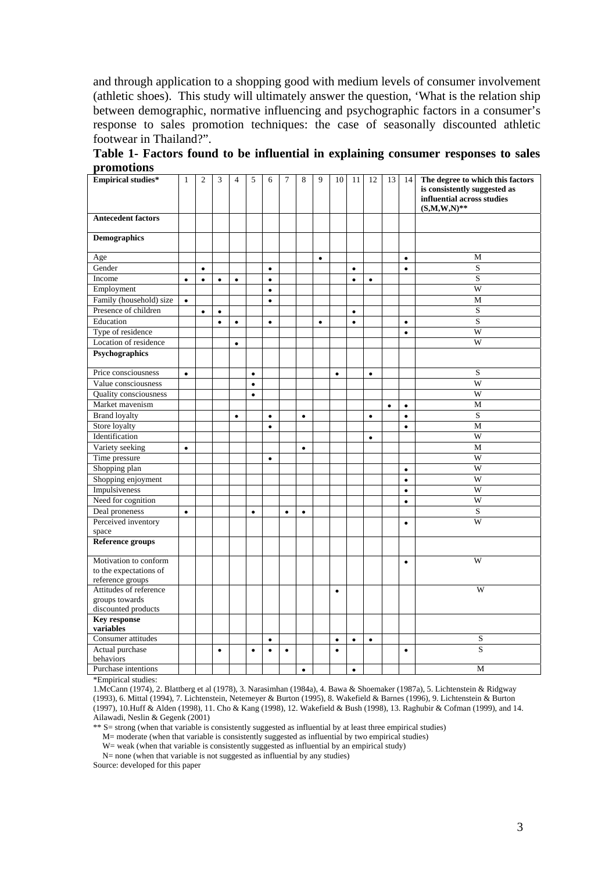and through application to a shopping good with medium levels of consumer involvement (athletic shoes). This study will ultimately answer the question, 'What is the relation ship between demographic, normative influencing and psychographic factors in a consumer's response to sales promotion techniques: the case of seasonally discounted athletic footwear in Thailand?".

| Table 1- Factors found to be influential in explaining consumer responses to sales |  |  |  |  |
|------------------------------------------------------------------------------------|--|--|--|--|
| promotions                                                                         |  |  |  |  |

| <b>Empirical studies*</b>                                           | $\mathbf{1}$ | $\overline{2}$ | 3         | $\overline{4}$ | 5         | 6         | 7         | 8         | 9         | 10        | 11        | 12        | 13        | 14        | The degree to which this factors<br>is consistently suggested as<br>influential across studies<br>$(S, M, W, N)$ ** |
|---------------------------------------------------------------------|--------------|----------------|-----------|----------------|-----------|-----------|-----------|-----------|-----------|-----------|-----------|-----------|-----------|-----------|---------------------------------------------------------------------------------------------------------------------|
| <b>Antecedent factors</b>                                           |              |                |           |                |           |           |           |           |           |           |           |           |           |           |                                                                                                                     |
| <b>Demographics</b>                                                 |              |                |           |                |           |           |           |           |           |           |           |           |           |           |                                                                                                                     |
| Age                                                                 |              |                |           |                |           |           |           |           | $\bullet$ |           |           |           |           | $\bullet$ | M                                                                                                                   |
| Gender                                                              |              | $\bullet$      |           |                |           | $\bullet$ |           |           |           |           | $\bullet$ |           |           | $\bullet$ | S                                                                                                                   |
| Income                                                              | $\bullet$    | $\bullet$      | $\bullet$ | $\bullet$      |           | $\bullet$ |           |           |           |           | $\bullet$ | $\bullet$ |           |           | $\overline{\mathbf{S}}$                                                                                             |
| Employment                                                          |              |                |           |                |           | $\bullet$ |           |           |           |           |           |           |           |           | W                                                                                                                   |
| Family (household) size                                             | $\bullet$    |                |           |                |           | $\bullet$ |           |           |           |           |           |           |           |           | M                                                                                                                   |
| Presence of children                                                |              | $\bullet$      | $\bullet$ |                |           |           |           |           |           |           | $\bullet$ |           |           |           | $\overline{S}$                                                                                                      |
| Education                                                           |              |                | $\bullet$ | $\bullet$      |           | $\bullet$ |           |           | $\bullet$ |           | $\bullet$ |           |           | $\bullet$ | $\overline{\mathbf{S}}$                                                                                             |
| Type of residence                                                   |              |                |           |                |           |           |           |           |           |           |           |           |           | $\bullet$ | W                                                                                                                   |
| Location of residence                                               |              |                |           | $\bullet$      |           |           |           |           |           |           |           |           |           |           | W                                                                                                                   |
| Psychographics                                                      |              |                |           |                |           |           |           |           |           |           |           |           |           |           |                                                                                                                     |
| Price consciousness                                                 | $\bullet$    |                |           |                | $\bullet$ |           |           |           |           | $\bullet$ |           | $\bullet$ |           |           | S                                                                                                                   |
| Value consciousness                                                 |              |                |           |                | $\bullet$ |           |           |           |           |           |           |           |           |           | W                                                                                                                   |
| Quality consciousness                                               |              |                |           |                | $\bullet$ |           |           |           |           |           |           |           |           |           | W                                                                                                                   |
| Market mavenism                                                     |              |                |           |                |           |           |           |           |           |           |           |           | $\bullet$ | $\bullet$ | M                                                                                                                   |
| <b>Brand loyalty</b>                                                |              |                |           | $\bullet$      |           | $\bullet$ |           | $\bullet$ |           |           |           | $\bullet$ |           | $\bullet$ | S                                                                                                                   |
| Store loyalty                                                       |              |                |           |                |           | $\bullet$ |           |           |           |           |           |           |           | $\bullet$ | M                                                                                                                   |
| Identification                                                      |              |                |           |                |           |           |           |           |           |           |           | $\bullet$ |           |           | W                                                                                                                   |
| Variety seeking                                                     | $\bullet$    |                |           |                |           |           |           | $\bullet$ |           |           |           |           |           |           | M                                                                                                                   |
| Time pressure                                                       |              |                |           |                |           | $\bullet$ |           |           |           |           |           |           |           |           | W                                                                                                                   |
| Shopping plan                                                       |              |                |           |                |           |           |           |           |           |           |           |           |           | $\bullet$ | W                                                                                                                   |
| Shopping enjoyment                                                  |              |                |           |                |           |           |           |           |           |           |           |           |           | $\bullet$ | W                                                                                                                   |
| Impulsiveness                                                       |              |                |           |                |           |           |           |           |           |           |           |           |           | $\bullet$ | W                                                                                                                   |
| Need for cognition                                                  |              |                |           |                |           |           |           |           |           |           |           |           |           | $\bullet$ | W                                                                                                                   |
| Deal proneness                                                      | $\bullet$    |                |           |                | $\bullet$ |           | $\bullet$ | $\bullet$ |           |           |           |           |           |           | S                                                                                                                   |
| Perceived inventory<br>space                                        |              |                |           |                |           |           |           |           |           |           |           |           |           | $\bullet$ | W                                                                                                                   |
| <b>Reference groups</b>                                             |              |                |           |                |           |           |           |           |           |           |           |           |           |           |                                                                                                                     |
| Motivation to conform<br>to the expectations of<br>reference groups |              |                |           |                |           |           |           |           |           |           |           |           |           | $\bullet$ | W                                                                                                                   |
| Attitudes of reference<br>groups towards<br>discounted products     |              |                |           |                |           |           |           |           |           | $\bullet$ |           |           |           |           | W                                                                                                                   |
| <b>Key response</b><br>variables                                    |              |                |           |                |           |           |           |           |           |           |           |           |           |           |                                                                                                                     |
| Consumer attitudes                                                  |              |                |           |                |           | $\bullet$ |           |           |           | $\bullet$ | $\bullet$ | $\bullet$ |           |           | S                                                                                                                   |
| Actual purchase<br>behaviors                                        |              |                | $\bullet$ |                | $\bullet$ | $\bullet$ | $\bullet$ |           |           | $\bullet$ |           |           |           | $\bullet$ | S                                                                                                                   |
| Purchase intentions                                                 |              |                |           |                |           |           |           | $\bullet$ |           |           | $\bullet$ |           |           |           | M                                                                                                                   |

\*Empirical studies:

1.McCann (1974), 2. Blattberg et al (1978), 3. Narasimhan (1984a), 4. Bawa & Shoemaker (1987a), 5. Lichtenstein & Ridgway (1993), 6. Mittal (1994), 7. Lichtenstein, Netemeyer & Burton (1995), 8. Wakefield & Barnes (1996), 9. Lichtenstein & Burton (1997), 10.Huff & Alden (1998), 11. Cho & Kang (1998), 12. Wakefield & Bush (1998), 13. Raghubir & Cofman (1999), and 14. Ailawadi, Neslin & Gegenk (2001)

\*\* S= strong (when that variable is consistently suggested as influential by at least three empirical studies)

M= moderate (when that variable is consistently suggested as influential by two empirical studies)

W= weak (when that variable is consistently suggested as influential by an empirical study) N= none (when that variable is not suggested as influential by any studies)

Source: developed for this paper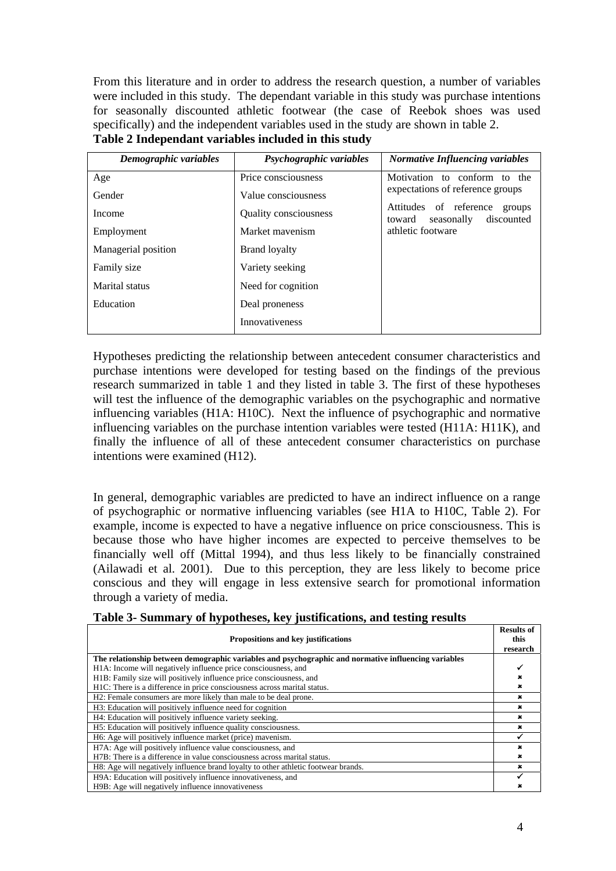From this literature and in order to address the research question, a number of variables were included in this study. The dependant variable in this study was purchase intentions for seasonally discounted athletic footwear (the case of Reebok shoes was used specifically) and the independent variables used in the study are shown in table 2.

| Demographic variables | Psychographic variables      | <b>Normative Influencing variables</b>                                 |
|-----------------------|------------------------------|------------------------------------------------------------------------|
| Age                   | Price consciousness          | Motivation to conform to the                                           |
| Gender                | Value consciousness          | expectations of reference groups                                       |
| Income                | <b>Ouality consciousness</b> | Attitudes of reference<br>groups<br>seasonally<br>discounted<br>toward |
| Employment            | Market mayenism              | athletic footware                                                      |
| Managerial position   | <b>Brand loyalty</b>         |                                                                        |
| Family size           | Variety seeking              |                                                                        |
| Marital status        | Need for cognition           |                                                                        |
| Education             | Deal proneness               |                                                                        |
|                       | <b>Innovativeness</b>        |                                                                        |

# **Table 2 Independant variables included in this study**

Hypotheses predicting the relationship between antecedent consumer characteristics and purchase intentions were developed for testing based on the findings of the previous research summarized in table 1 and they listed in table 3. The first of these hypotheses will test the influence of the demographic variables on the psychographic and normative influencing variables (H1A: H10C). Next the influence of psychographic and normative influencing variables on the purchase intention variables were tested (H11A: H11K), and finally the influence of all of these antecedent consumer characteristics on purchase intentions were examined (H12).

In general, demographic variables are predicted to have an indirect influence on a range of psychographic or normative influencing variables (see H1A to H10C, Table 2). For example, income is expected to have a negative influence on price consciousness. This is because those who have higher incomes are expected to perceive themselves to be financially well off (Mittal 1994), and thus less likely to be financially constrained (Ailawadi et al. 2001). Due to this perception, they are less likely to become price conscious and they will engage in less extensive search for promotional information through a variety of media.

|  |  |  | Table 3- Summary of hypotheses, key justifications, and testing results |  |  |
|--|--|--|-------------------------------------------------------------------------|--|--|
|  |  |  |                                                                         |  |  |

|                                                                                                      | <b>Results of</b> |  |  |  |  |  |
|------------------------------------------------------------------------------------------------------|-------------------|--|--|--|--|--|
| <b>Propositions and key justifications</b>                                                           | this              |  |  |  |  |  |
|                                                                                                      | research          |  |  |  |  |  |
| The relationship between demographic variables and psychographic and normative influencing variables |                   |  |  |  |  |  |
| H1A: Income will negatively influence price consciousness, and                                       |                   |  |  |  |  |  |
| H <sub>1</sub> B: Family size will positively influence price consciousness, and                     |                   |  |  |  |  |  |
| H1C: There is a difference in price consciousness across marital status.                             |                   |  |  |  |  |  |
| H2: Female consumers are more likely than male to be deal prone.                                     | ×                 |  |  |  |  |  |
| H3: Education will positively influence need for cognition                                           | ×                 |  |  |  |  |  |
| H4: Education will positively influence variety seeking.                                             | ×                 |  |  |  |  |  |
| H5: Education will positively influence quality consciousness.                                       | ×                 |  |  |  |  |  |
| H6: Age will positively influence market (price) mavenism.                                           |                   |  |  |  |  |  |
| H7A: Age will positively influence value consciousness, and                                          |                   |  |  |  |  |  |
| H7B: There is a difference in value consciousness across marital status.                             |                   |  |  |  |  |  |
| H8: Age will negatively influence brand loyalty to other athletic footwear brands.                   | ×                 |  |  |  |  |  |
| H9A: Education will positively influence innovativeness, and                                         |                   |  |  |  |  |  |
| H9B: Age will negatively influence innovativeness                                                    |                   |  |  |  |  |  |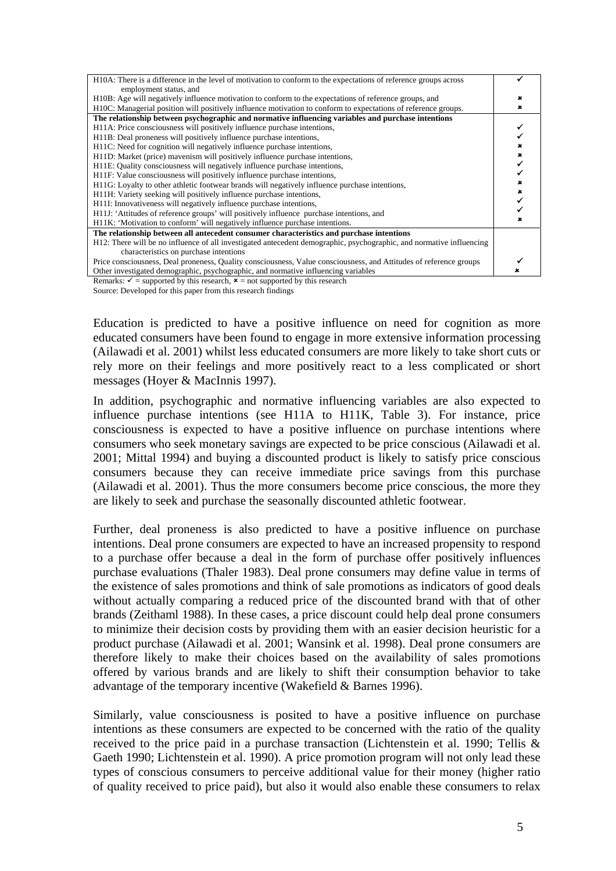| H10A: There is a difference in the level of motivation to conform to the expectations of reference groups across     |  |
|----------------------------------------------------------------------------------------------------------------------|--|
| employment status, and                                                                                               |  |
| H10B: Age will negatively influence motivation to conform to the expectations of reference groups, and               |  |
| H10C: Managerial position will positively influence motivation to conform to expectations of reference groups.       |  |
| The relationship between psychographic and normative influencing variables and purchase intentions                   |  |
| H11A: Price consciousness will positively influence purchase intentions,                                             |  |
| H11B: Deal proneness will positively influence purchase intentions,                                                  |  |
| H <sub>11</sub> C: Need for cognition will negatively influence purchase intentions,                                 |  |
| H11D: Market (price) mavenism will positively influence purchase intentions,                                         |  |
| H11E: Quality consciousness will negatively influence purchase intentions,                                           |  |
| H11F: Value consciousness will positively influence purchase intentions,                                             |  |
| H11G: Loyalty to other athletic footwear brands will negatively influence purchase intentions,                       |  |
| H11H: Variety seeking will positively influence purchase intentions,                                                 |  |
| H11I: Innovativeness will negatively influence purchase intentions,                                                  |  |
| H11J: 'Attitudes of reference groups' will positively influence purchase intentions, and                             |  |
| H11K: 'Motivation to conform' will negatively influence purchase intentions.                                         |  |
| The relationship between all antecedent consumer characteristics and purchase intentions                             |  |
| H12: There will be no influence of all investigated antecedent demographic, psychographic, and normative influencing |  |
| characteristics on purchase intentions                                                                               |  |
| Price consciousness, Deal proneness, Quality consciousness, Value consciousness, and Attitudes of reference groups   |  |
| Other investigated demographic, psychographic, and normative influencing variables                                   |  |

Remarks:  $\checkmark$  = supported by this research,  $\checkmark$  = not supported by this research

Source: Developed for this paper from this research findings

Education is predicted to have a positive influence on need for cognition as more educated consumers have been found to engage in more extensive information processing (Ailawadi et al. 2001) whilst less educated consumers are more likely to take short cuts or rely more on their feelings and more positively react to a less complicated or short messages (Hoyer & MacInnis 1997).

In addition, psychographic and normative influencing variables are also expected to influence purchase intentions (see H11A to H11K, Table 3). For instance, price consciousness is expected to have a positive influence on purchase intentions where consumers who seek monetary savings are expected to be price conscious (Ailawadi et al. 2001; Mittal 1994) and buying a discounted product is likely to satisfy price conscious consumers because they can receive immediate price savings from this purchase (Ailawadi et al. 2001). Thus the more consumers become price conscious, the more they are likely to seek and purchase the seasonally discounted athletic footwear.

Further, deal proneness is also predicted to have a positive influence on purchase intentions. Deal prone consumers are expected to have an increased propensity to respond to a purchase offer because a deal in the form of purchase offer positively influences purchase evaluations (Thaler 1983). Deal prone consumers may define value in terms of the existence of sales promotions and think of sale promotions as indicators of good deals without actually comparing a reduced price of the discounted brand with that of other brands (Zeithaml 1988). In these cases, a price discount could help deal prone consumers to minimize their decision costs by providing them with an easier decision heuristic for a product purchase (Ailawadi et al. 2001; Wansink et al. 1998). Deal prone consumers are therefore likely to make their choices based on the availability of sales promotions offered by various brands and are likely to shift their consumption behavior to take advantage of the temporary incentive (Wakefield & Barnes 1996).

Similarly, value consciousness is posited to have a positive influence on purchase intentions as these consumers are expected to be concerned with the ratio of the quality received to the price paid in a purchase transaction (Lichtenstein et al. 1990; Tellis & Gaeth 1990; Lichtenstein et al. 1990). A price promotion program will not only lead these types of conscious consumers to perceive additional value for their money (higher ratio of quality received to price paid), but also it would also enable these consumers to relax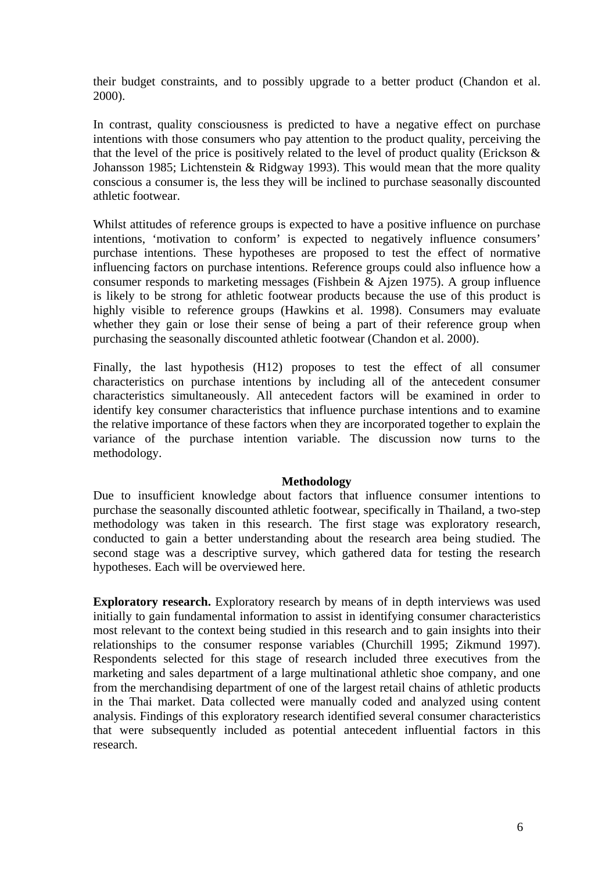their budget constraints, and to possibly upgrade to a better product (Chandon et al. 2000).

In contrast, quality consciousness is predicted to have a negative effect on purchase intentions with those consumers who pay attention to the product quality, perceiving the that the level of the price is positively related to the level of product quality (Erickson  $\&$ Johansson 1985; Lichtenstein & Ridgway 1993). This would mean that the more quality conscious a consumer is, the less they will be inclined to purchase seasonally discounted athletic footwear.

Whilst attitudes of reference groups is expected to have a positive influence on purchase intentions, 'motivation to conform' is expected to negatively influence consumers' purchase intentions. These hypotheses are proposed to test the effect of normative influencing factors on purchase intentions. Reference groups could also influence how a consumer responds to marketing messages (Fishbein & Ajzen 1975). A group influence is likely to be strong for athletic footwear products because the use of this product is highly visible to reference groups (Hawkins et al. 1998). Consumers may evaluate whether they gain or lose their sense of being a part of their reference group when purchasing the seasonally discounted athletic footwear (Chandon et al. 2000).

Finally, the last hypothesis (H12) proposes to test the effect of all consumer characteristics on purchase intentions by including all of the antecedent consumer characteristics simultaneously. All antecedent factors will be examined in order to identify key consumer characteristics that influence purchase intentions and to examine the relative importance of these factors when they are incorporated together to explain the variance of the purchase intention variable. The discussion now turns to the methodology.

#### **Methodology**

Due to insufficient knowledge about factors that influence consumer intentions to purchase the seasonally discounted athletic footwear, specifically in Thailand, a two-step methodology was taken in this research. The first stage was exploratory research, conducted to gain a better understanding about the research area being studied. The second stage was a descriptive survey, which gathered data for testing the research hypotheses. Each will be overviewed here.

**Exploratory research.** Exploratory research by means of in depth interviews was used initially to gain fundamental information to assist in identifying consumer characteristics most relevant to the context being studied in this research and to gain insights into their relationships to the consumer response variables (Churchill 1995; Zikmund 1997). Respondents selected for this stage of research included three executives from the marketing and sales department of a large multinational athletic shoe company, and one from the merchandising department of one of the largest retail chains of athletic products in the Thai market. Data collected were manually coded and analyzed using content analysis. Findings of this exploratory research identified several consumer characteristics that were subsequently included as potential antecedent influential factors in this research.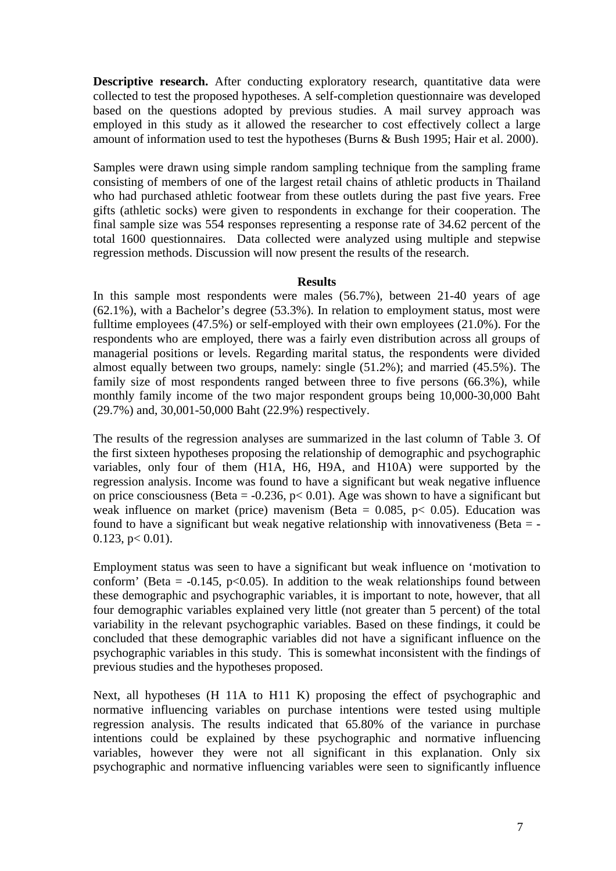**Descriptive research.** After conducting exploratory research, quantitative data were collected to test the proposed hypotheses. A self-completion questionnaire was developed based on the questions adopted by previous studies. A mail survey approach was employed in this study as it allowed the researcher to cost effectively collect a large amount of information used to test the hypotheses (Burns & Bush 1995; Hair et al. 2000).

Samples were drawn using simple random sampling technique from the sampling frame consisting of members of one of the largest retail chains of athletic products in Thailand who had purchased athletic footwear from these outlets during the past five years. Free gifts (athletic socks) were given to respondents in exchange for their cooperation. The final sample size was 554 responses representing a response rate of 34.62 percent of the total 1600 questionnaires. Data collected were analyzed using multiple and stepwise regression methods. Discussion will now present the results of the research.

#### **Results**

In this sample most respondents were males (56.7%), between 21-40 years of age (62.1%), with a Bachelor's degree (53.3%). In relation to employment status, most were fulltime employees (47.5%) or self-employed with their own employees (21.0%). For the respondents who are employed, there was a fairly even distribution across all groups of managerial positions or levels. Regarding marital status, the respondents were divided almost equally between two groups, namely: single (51.2%); and married (45.5%). The family size of most respondents ranged between three to five persons (66.3%), while monthly family income of the two major respondent groups being 10,000-30,000 Baht (29.7%) and, 30,001-50,000 Baht (22.9%) respectively.

The results of the regression analyses are summarized in the last column of Table 3. Of the first sixteen hypotheses proposing the relationship of demographic and psychographic variables, only four of them (H1A, H6, H9A, and H10A) were supported by the regression analysis. Income was found to have a significant but weak negative influence on price consciousness (Beta =  $-0.236$ , p $< 0.01$ ). Age was shown to have a significant but weak influence on market (price) mavenism (Beta =  $0.085$ , p $\lt$  0.05). Education was found to have a significant but weak negative relationship with innovativeness (Beta  $=$  - $0.123$ ,  $p < 0.01$ ).

Employment status was seen to have a significant but weak influence on 'motivation to conform' (Beta =  $-0.145$ , p<0.05). In addition to the weak relationships found between these demographic and psychographic variables, it is important to note, however, that all four demographic variables explained very little (not greater than 5 percent) of the total variability in the relevant psychographic variables. Based on these findings, it could be concluded that these demographic variables did not have a significant influence on the psychographic variables in this study. This is somewhat inconsistent with the findings of previous studies and the hypotheses proposed.

Next, all hypotheses (H 11A to H11 K) proposing the effect of psychographic and normative influencing variables on purchase intentions were tested using multiple regression analysis. The results indicated that 65.80% of the variance in purchase intentions could be explained by these psychographic and normative influencing variables, however they were not all significant in this explanation. Only six psychographic and normative influencing variables were seen to significantly influence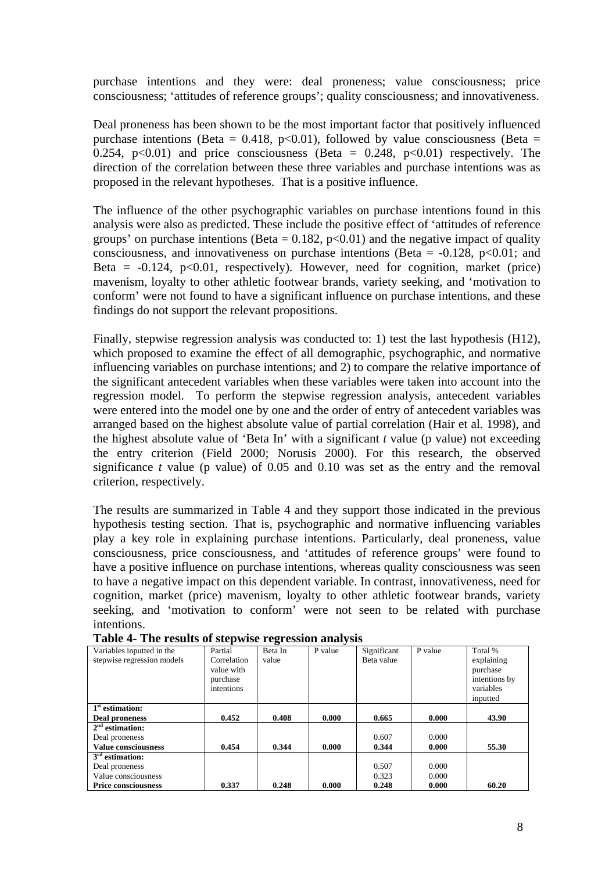purchase intentions and they were: deal proneness; value consciousness; price consciousness; 'attitudes of reference groups'; quality consciousness; and innovativeness.

Deal proneness has been shown to be the most important factor that positively influenced purchase intentions (Beta = 0.418, p<0.01), followed by value consciousness (Beta = 0.254, p<0.01) and price consciousness (Beta =  $0.248$ , p<0.01) respectively. The direction of the correlation between these three variables and purchase intentions was as proposed in the relevant hypotheses. That is a positive influence.

The influence of the other psychographic variables on purchase intentions found in this analysis were also as predicted. These include the positive effect of 'attitudes of reference groups' on purchase intentions (Beta =  $0.182$ , p<0.01) and the negative impact of quality consciousness, and innovativeness on purchase intentions (Beta =  $-0.128$ , p<0.01; and Beta =  $-0.124$ ,  $p<0.01$ , respectively). However, need for cognition, market (price) mavenism, loyalty to other athletic footwear brands, variety seeking, and 'motivation to conform' were not found to have a significant influence on purchase intentions, and these findings do not support the relevant propositions.

Finally, stepwise regression analysis was conducted to: 1) test the last hypothesis (H12), which proposed to examine the effect of all demographic, psychographic, and normative influencing variables on purchase intentions; and 2) to compare the relative importance of the significant antecedent variables when these variables were taken into account into the regression model. To perform the stepwise regression analysis, antecedent variables were entered into the model one by one and the order of entry of antecedent variables was arranged based on the highest absolute value of partial correlation (Hair et al. 1998), and the highest absolute value of 'Beta In' with a significant *t* value (p value) not exceeding the entry criterion (Field 2000; Norusis 2000). For this research, the observed significance  $t$  value (p value) of 0.05 and 0.10 was set as the entry and the removal criterion, respectively.

The results are summarized in Table 4 and they support those indicated in the previous hypothesis testing section. That is, psychographic and normative influencing variables play a key role in explaining purchase intentions. Particularly, deal proneness, value consciousness, price consciousness, and 'attitudes of reference groups' were found to have a positive influence on purchase intentions, whereas quality consciousness was seen to have a negative impact on this dependent variable. In contrast, innovativeness, need for cognition, market (price) mavenism, loyalty to other athletic footwear brands, variety seeking, and 'motivation to conform' were not seen to be related with purchase intentions.

| Variables inputted in the<br>stepwise regression models | Partial<br>Correlation<br>value with<br>purchase<br>intentions | Beta In<br>value | P value | Significant<br>Beta value | P value | Total %<br>explaining<br>purchase<br>intentions by<br>variables |
|---------------------------------------------------------|----------------------------------------------------------------|------------------|---------|---------------------------|---------|-----------------------------------------------------------------|
|                                                         |                                                                |                  |         |                           |         | inputted                                                        |
| 1 <sup>st</sup> estimation:                             |                                                                |                  |         |                           |         |                                                                 |
| Deal proneness                                          | 0.452                                                          | 0.408            | 0.000   | 0.665                     | 0.000   | 43.90                                                           |
| $2nd$ estimation:                                       |                                                                |                  |         |                           |         |                                                                 |
| Deal proneness                                          |                                                                |                  |         | 0.607                     | 0.000   |                                                                 |
| <b>Value consciousness</b>                              | 0.454                                                          | 0.344            | 0.000   | 0.344                     | 0.000   | 55.30                                                           |
| $3rd$ estimation:                                       |                                                                |                  |         |                           |         |                                                                 |
| Deal proneness                                          |                                                                |                  |         | 0.507                     | 0.000   |                                                                 |
| Value consciousness                                     |                                                                |                  |         | 0.323                     | 0.000   |                                                                 |
| <b>Price consciousness</b>                              | 0.337                                                          | 0.248            | 0.000   | 0.248                     | 0.000   | 60.20                                                           |

**Table 4- The results of stepwise regression analysis**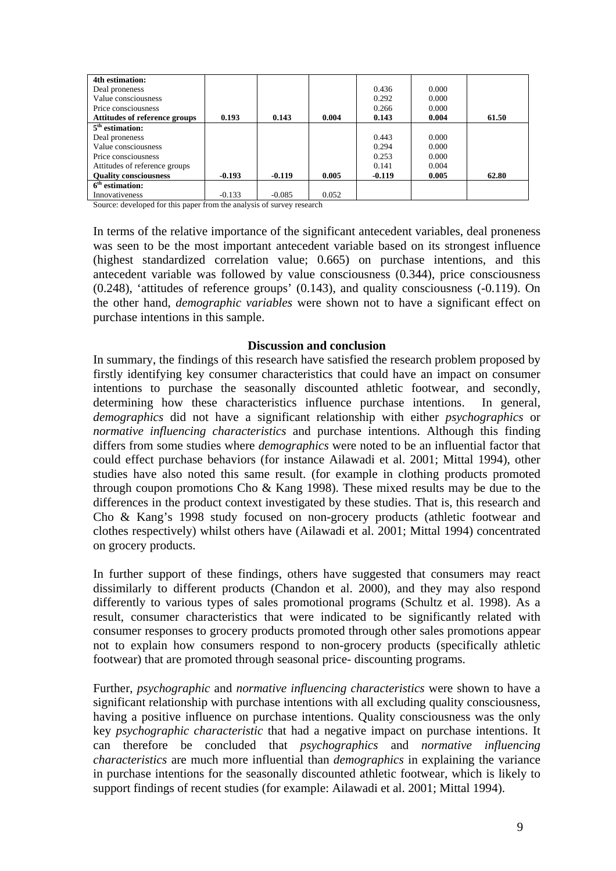| 4th estimation:               |          |          |       |          |       |       |
|-------------------------------|----------|----------|-------|----------|-------|-------|
| Deal proneness                |          |          |       | 0.436    | 0.000 |       |
| Value consciousness           |          |          |       | 0.292    | 0.000 |       |
| Price consciousness           |          |          |       | 0.266    | 0.000 |       |
| Attitudes of reference groups | 0.193    | 0.143    | 0.004 | 0.143    | 0.004 | 61.50 |
| $5th$ estimation:             |          |          |       |          |       |       |
| Deal proneness                |          |          |       | 0.443    | 0.000 |       |
| Value consciousness           |          |          |       | 0.294    | 0.000 |       |
| Price consciousness           |          |          |       | 0.253    | 0.000 |       |
| Attitudes of reference groups |          |          |       | 0.141    | 0.004 |       |
| <b>Ouality consciousness</b>  | $-0.193$ | $-0.119$ | 0.005 | $-0.119$ | 0.005 | 62.80 |
| $6th$ estimation:             |          |          |       |          |       |       |
| Innovativeness                | $-0.133$ | $-0.085$ | 0.052 |          |       |       |

Source: developed for this paper from the analysis of survey research

In terms of the relative importance of the significant antecedent variables, deal proneness was seen to be the most important antecedent variable based on its strongest influence (highest standardized correlation value; 0.665) on purchase intentions, and this antecedent variable was followed by value consciousness (0.344), price consciousness (0.248), 'attitudes of reference groups' (0.143), and quality consciousness (-0.119). On the other hand, *demographic variables* were shown not to have a significant effect on purchase intentions in this sample.

#### **Discussion and conclusion**

In summary, the findings of this research have satisfied the research problem proposed by firstly identifying key consumer characteristics that could have an impact on consumer intentions to purchase the seasonally discounted athletic footwear, and secondly, determining how these characteristics influence purchase intentions. In general, *demographics* did not have a significant relationship with either *psychographics* or *normative influencing characteristics* and purchase intentions. Although this finding differs from some studies where *demographics* were noted to be an influential factor that could effect purchase behaviors (for instance Ailawadi et al. 2001; Mittal 1994), other studies have also noted this same result. (for example in clothing products promoted through coupon promotions Cho & Kang 1998). These mixed results may be due to the differences in the product context investigated by these studies. That is, this research and Cho & Kang's 1998 study focused on non-grocery products (athletic footwear and clothes respectively) whilst others have (Ailawadi et al. 2001; Mittal 1994) concentrated on grocery products.

In further support of these findings, others have suggested that consumers may react dissimilarly to different products (Chandon et al. 2000), and they may also respond differently to various types of sales promotional programs (Schultz et al. 1998). As a result, consumer characteristics that were indicated to be significantly related with consumer responses to grocery products promoted through other sales promotions appear not to explain how consumers respond to non-grocery products (specifically athletic footwear) that are promoted through seasonal price- discounting programs.

Further, *psychographic* and *normative influencing characteristics* were shown to have a significant relationship with purchase intentions with all excluding quality consciousness, having a positive influence on purchase intentions. Quality consciousness was the only key *psychographic characteristic* that had a negative impact on purchase intentions. It can therefore be concluded that *psychographics* and *normative influencing characteristics* are much more influential than *demographics* in explaining the variance in purchase intentions for the seasonally discounted athletic footwear, which is likely to support findings of recent studies (for example: Ailawadi et al. 2001; Mittal 1994).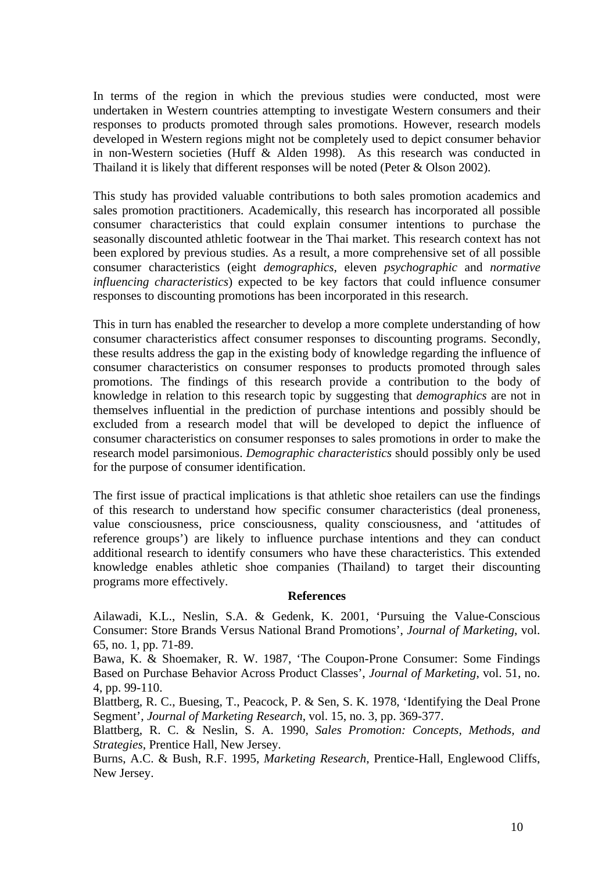In terms of the region in which the previous studies were conducted, most were undertaken in Western countries attempting to investigate Western consumers and their responses to products promoted through sales promotions. However, research models developed in Western regions might not be completely used to depict consumer behavior in non-Western societies (Huff & Alden 1998). As this research was conducted in Thailand it is likely that different responses will be noted (Peter & Olson 2002).

This study has provided valuable contributions to both sales promotion academics and sales promotion practitioners. Academically, this research has incorporated all possible consumer characteristics that could explain consumer intentions to purchase the seasonally discounted athletic footwear in the Thai market. This research context has not been explored by previous studies. As a result, a more comprehensive set of all possible consumer characteristics (eight *demographics*, eleven *psychographic* and *normative influencing characteristics*) expected to be key factors that could influence consumer responses to discounting promotions has been incorporated in this research.

This in turn has enabled the researcher to develop a more complete understanding of how consumer characteristics affect consumer responses to discounting programs. Secondly, these results address the gap in the existing body of knowledge regarding the influence of consumer characteristics on consumer responses to products promoted through sales promotions. The findings of this research provide a contribution to the body of knowledge in relation to this research topic by suggesting that *demographics* are not in themselves influential in the prediction of purchase intentions and possibly should be excluded from a research model that will be developed to depict the influence of consumer characteristics on consumer responses to sales promotions in order to make the research model parsimonious. *Demographic characteristics* should possibly only be used for the purpose of consumer identification.

The first issue of practical implications is that athletic shoe retailers can use the findings of this research to understand how specific consumer characteristics (deal proneness, value consciousness, price consciousness, quality consciousness, and 'attitudes of reference groups') are likely to influence purchase intentions and they can conduct additional research to identify consumers who have these characteristics. This extended knowledge enables athletic shoe companies (Thailand) to target their discounting programs more effectively.

#### **References**

Ailawadi, K.L., Neslin, S.A. & Gedenk, K. 2001, 'Pursuing the Value-Conscious Consumer: Store Brands Versus National Brand Promotions', *Journal of Marketing*, vol. 65, no. 1, pp. 71-89.

Bawa, K. & Shoemaker, R. W. 1987, 'The Coupon-Prone Consumer: Some Findings Based on Purchase Behavior Across Product Classes', *Journal of Marketing*, vol. 51, no. 4, pp. 99-110.

Blattberg, R. C., Buesing, T., Peacock, P. & Sen, S. K. 1978, 'Identifying the Deal Prone Segment', *Journal of Marketing Research*, vol. 15, no. 3, pp. 369-377.

Blattberg, R. C. & Neslin, S. A. 1990, *Sales Promotion: Concepts, Methods, and Strategies*, Prentice Hall, New Jersey.

Burns, A.C. & Bush, R.F. 1995, *Marketing Research*, Prentice-Hall, Englewood Cliffs, New Jersey.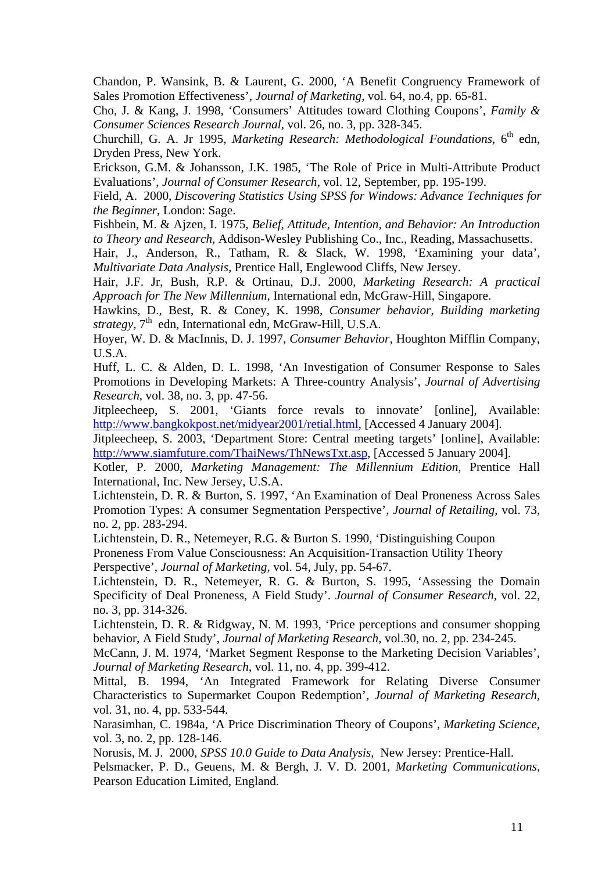Chandon, P. Wansink, B. & Laurent, G. 2000, 'A Benefit Congruency Framework of Sales Promotion Effectiveness', *Journal of Marketing*, vol. 64, no.4, pp. 65-81.

Cho, J. & Kang, J. 1998, 'Consumers' Attitudes toward Clothing Coupons', *Family & Consumer Sciences Research Journal*, vol. 26, no. 3, pp. 328-345.

Churchill, G. A. Jr 1995, *Marketing Research: Methodological Foundations*. 6<sup>th</sup> edn. Dryden Press, New York.

Erickson, G.M. & Johansson, J.K. 1985, 'The Role of Price in Multi-Attribute Product Evaluations', *Journal of Consumer Research*, vol. 12, September, pp. 195-199.

Field, A. 2000, *Discovering Statistics Using SPSS for Windows: Advance Techniques for the Beginner*, London: Sage.

Fishbein, M. & Ajzen, I. 1975, *Belief, Attitude, Intention, and Behavior: An Introduction to Theory and Research*, Addison-Wesley Publishing Co., Inc., Reading, Massachusetts.

Hair, J., Anderson, R., Tatham, R. & Slack, W. 1998, 'Examining your data', *Multivariate Data Analysis*, Prentice Hall, Englewood Cliffs, New Jersey.

Hair, J.F. Jr, Bush, R.P. & Ortinau, D.J. 2000, *Marketing Research: A practical Approach for The New Millennium*, International edn, McGraw-Hill, Singapore.

Hawkins, D., Best, R. & Coney, K. 1998, *Consumer behavior, Building marketing strategy*,  $7<sup>th</sup>$  edn, International edn, McGraw-Hill, U.S.A.

Hoyer, W. D. & MacInnis, D. J. 1997, *Consumer Behavior*, Houghton Mifflin Company, U.S.A.

Huff, L. C. & Alden, D. L. 1998, 'An Investigation of Consumer Response to Sales Promotions in Developing Markets: A Three-country Analysis', *Journal of Advertising Research*, vol. 38, no. 3, pp. 47-56.

Jitpleecheep, S. 2001, 'Giants force revals to innovate' [online], Available: <http://www.bangkokpost.net/midyear2001/retial.html>, [Accessed 4 January 2004].

Jitpleecheep, S. 2003, 'Department Store: Central meeting targets' [online], Available: [http://www.siamfuture.com/ThaiNews/ThNewsTxt.asp,](http://www.siamfuture.com/ThaiNews/ThNewsTxt.asp) [Accessed 5 January 2004].

Kotler, P. 2000, *Marketing Management: The Millennium Edition*, Prentice Hall International, Inc. New Jersey, U.S.A.

Lichtenstein, D. R. & Burton, S. 1997, 'An Examination of Deal Proneness Across Sales Promotion Types: A consumer Segmentation Perspective', *Journal of Retailing*, vol. 73, no. 2, pp. 283-294.

Lichtenstein, D. R., Netemeyer, R.G. & Burton S. 1990, 'Distinguishing Coupon Proneness From Value Consciousness: An Acquisition-Transaction Utility Theory Perspective', *Journal of Marketing*, vol. 54, July, pp. 54-67.

Lichtenstein, D. R., Netemeyer, R. G. & Burton, S. 1995, 'Assessing the Domain Specificity of Deal Proneness, A Field Study'. *Journal of Consumer Research*, vol. 22, no. 3, pp. 314-326.

Lichtenstein, D. R. & Ridgway, N. M. 1993, 'Price perceptions and consumer shopping behavior, A Field Study', *Journal of Marketing Research*, vol.30, no. 2, pp. 234-245.

McCann, J. M. 1974, 'Market Segment Response to the Marketing Decision Variables', *Journal of Marketing Research*, vol. 11, no. 4, pp. 399-412.

Mittal, B. 1994, 'An Integrated Framework for Relating Diverse Consumer Characteristics to Supermarket Coupon Redemption', *Journal of Marketing Research*, vol. 31, no. 4, pp. 533-544.

Narasimhan, C. 1984a, 'A Price Discrimination Theory of Coupons', *Marketing Science*, vol. 3, no. 2, pp. 128-146.

Norusis, M. J. 2000, *SPSS 10.0 Guide to Data Analysis*, New Jersey: Prentice-Hall.

Pelsmacker, P. D., Geuens, M. & Bergh, J. V. D. 2001, *Marketing Communications*, Pearson Education Limited, England.